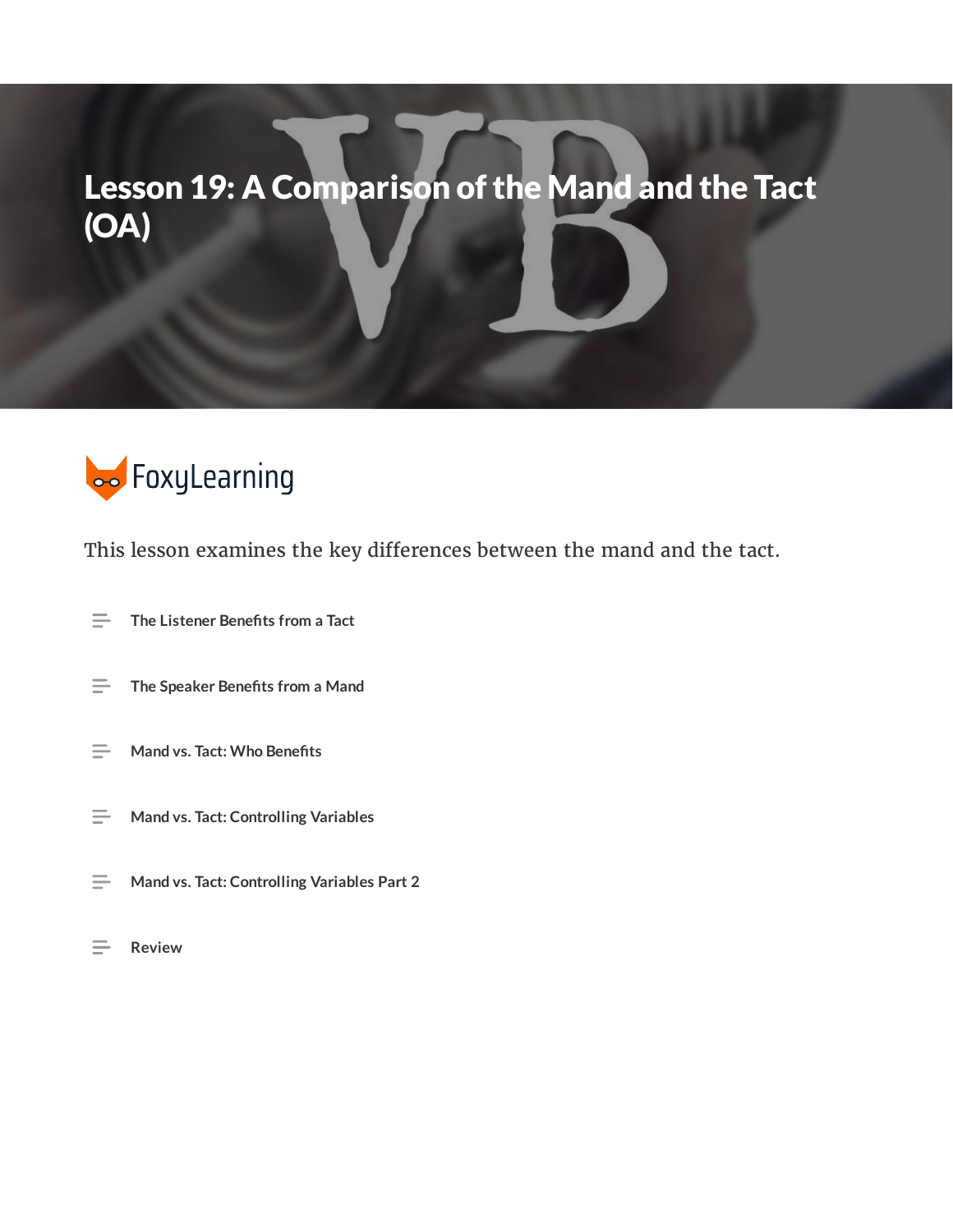# Lesson 19: A Comparison of the Mand and the Tact (OA)



This lesson examines the key differences between the mand and the tact.

- $\equiv$ **The Listener Benets from a Tact**
- $\equiv$ **The Speaker Benets from a Mand**
- $\equiv$ **Mand vs. Tact: Who Benets**
- $\equiv$ **Mand vs. Tact: Controlling Variables**
- $\equiv$ **Mand vs. Tact: Controlling Variables Part 2**
- $\equiv$ **Review**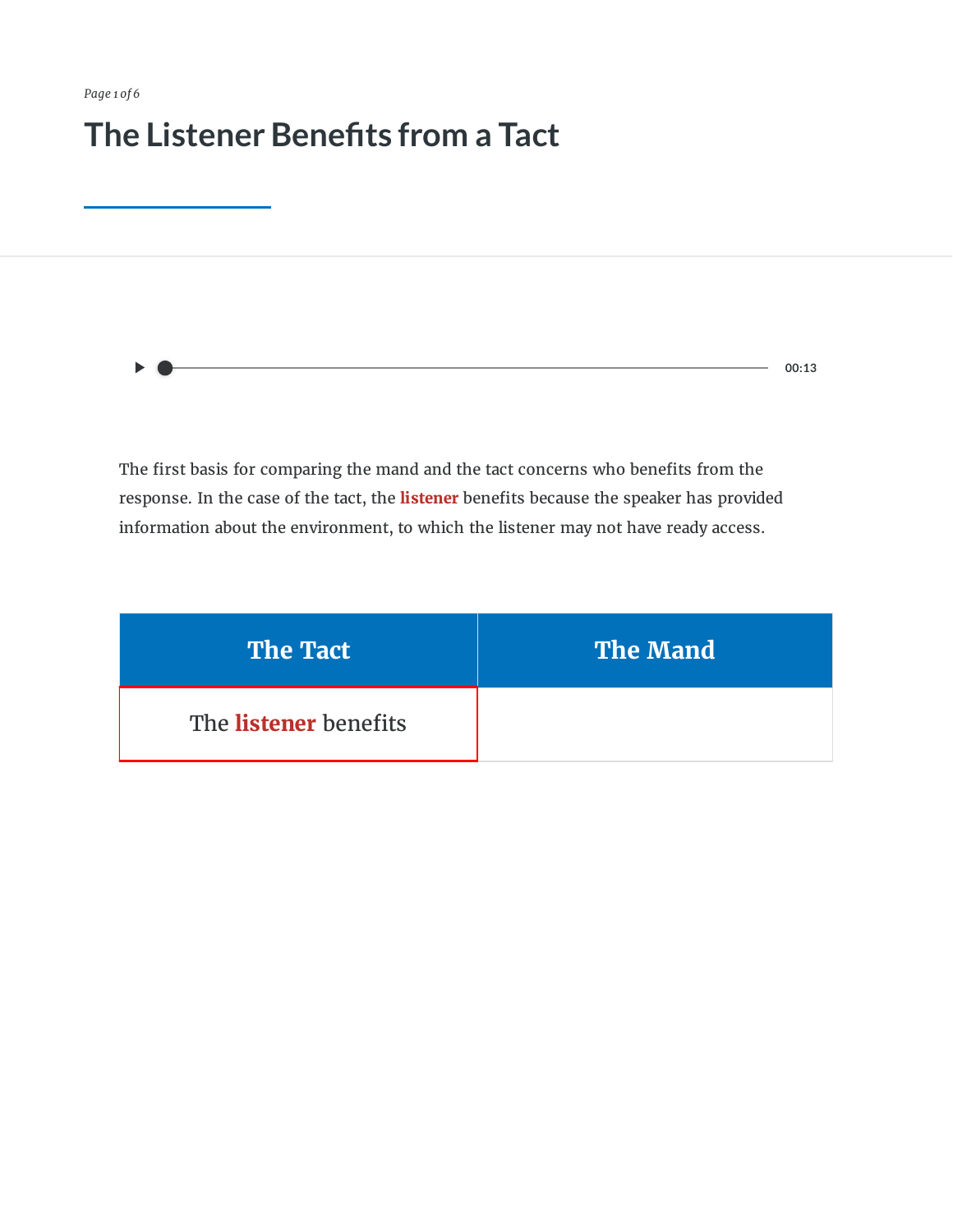*Page 1 of 6*

#### **The Listener Benets from a Tact**

 $- 00:13$ 

The first basis for comparing the mand and the tact concerns who benefits from the response. In the case of the tact, the **listener** benefits because the speaker has provided information about the environment, to which the listener may not have ready access.

| <b>The Tact</b>              | <b>The Mand</b> |
|------------------------------|-----------------|
| The <b>listener</b> benefits |                 |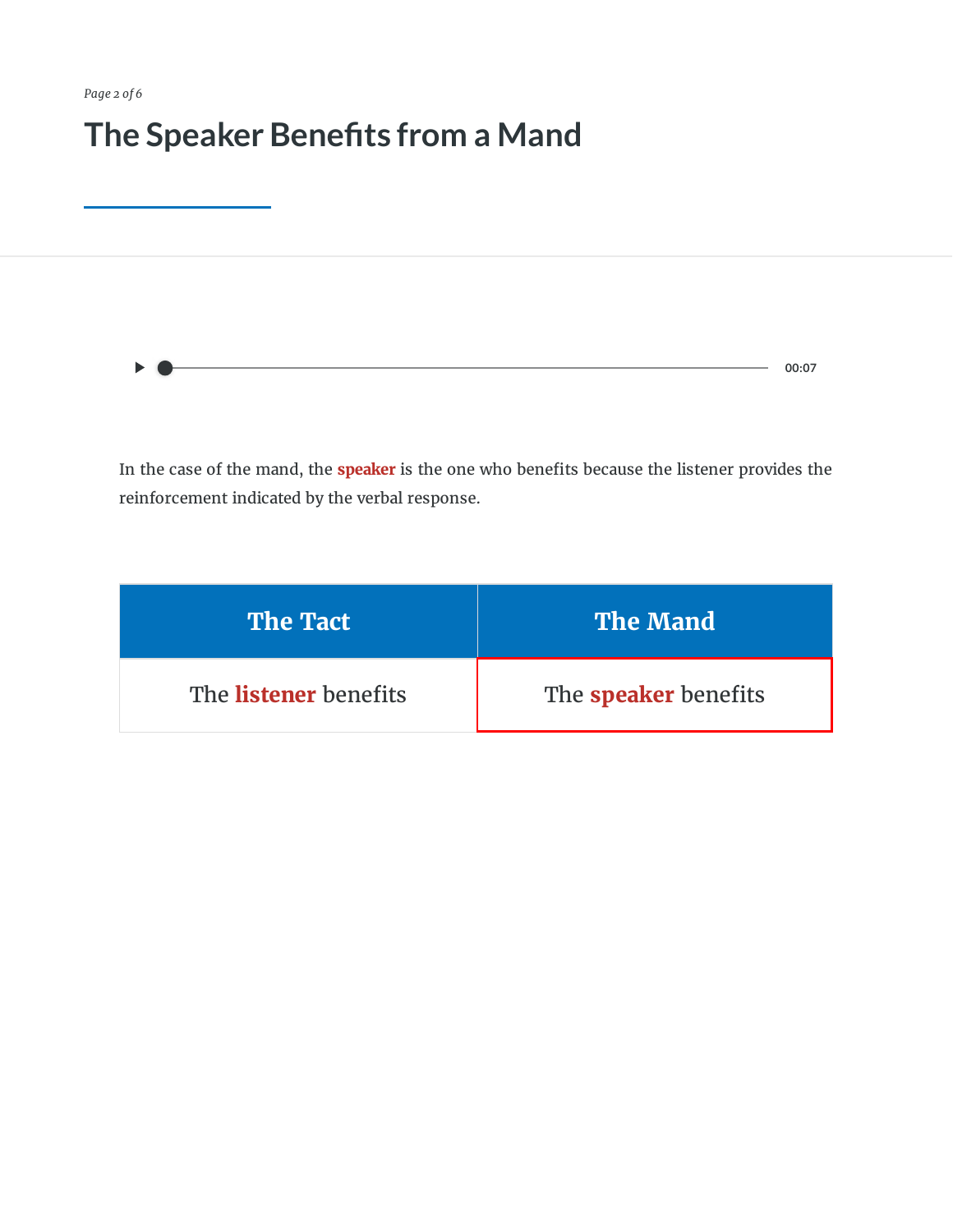*Page 2 of 6*

#### **The Speaker Benets from a Mand**

 $\blacktriangleright$ **00:07** $\bullet$ 

In the case of the mand, the **speaker** is the one who benefits because the listener provides the reinforcement indicated by the verbal response.

| <b>The Tact</b>              | <b>The Mand</b>             |
|------------------------------|-----------------------------|
| The <b>listener</b> benefits | The <b>speaker</b> benefits |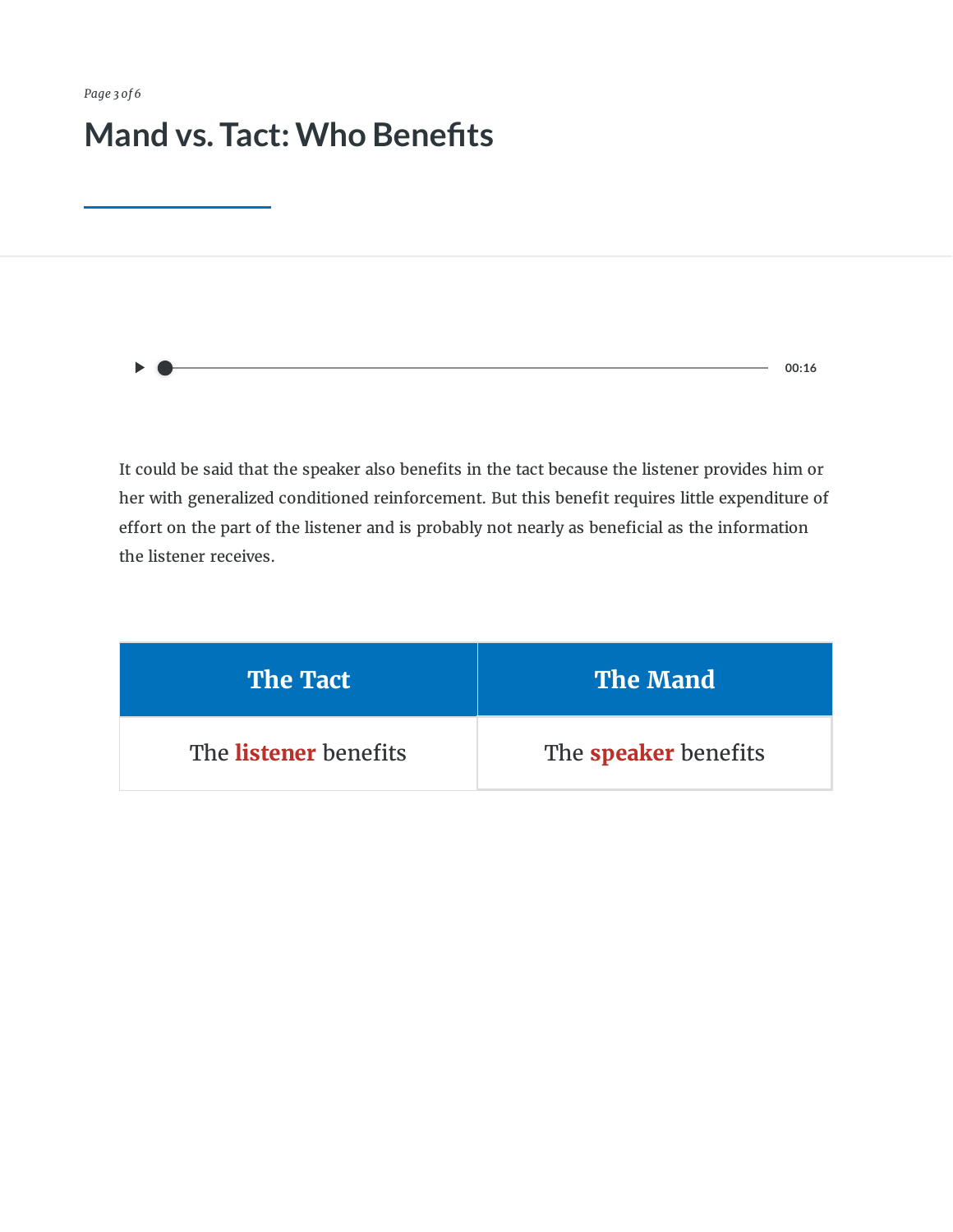#### **Mand vs. Tact:Who Benets**

**00:16**

It could be said that the speaker also benefits in the tact because the listener provides him or her with generalized conditioned reinforcement. But this benefit requires little expenditure of effort on the part of the listener and is probably not nearly as beneficial as the information the listener receives.

| <b>The Tact</b>              | <b>The Mand</b>             |
|------------------------------|-----------------------------|
| The <b>listener</b> benefits | The <b>speaker</b> benefits |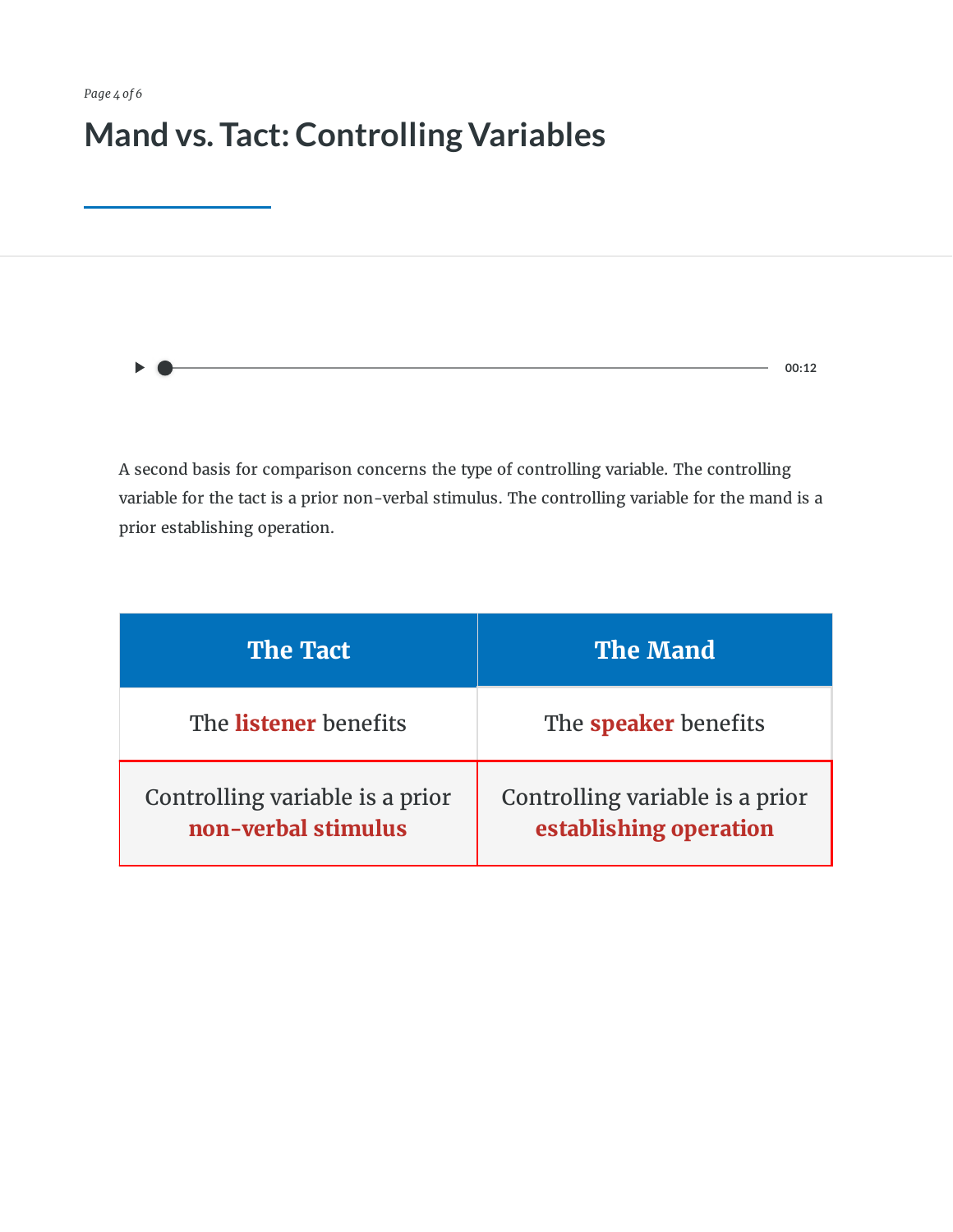## **Mand vs. Tact:Controlling Variables**

**00:12**

A second basis for comparison concerns the type of controlling variable. The controlling variable for the tact is a prior non-verbal stimulus. The controlling variable for the mand is a prior establishing operation.

| <b>The Tact</b>                                        | <b>The Mand</b>                                           |
|--------------------------------------------------------|-----------------------------------------------------------|
| The listener benefits                                  | The <b>speaker</b> benefits                               |
| Controlling variable is a prior<br>non-verbal stimulus | Controlling variable is a prior<br>establishing operation |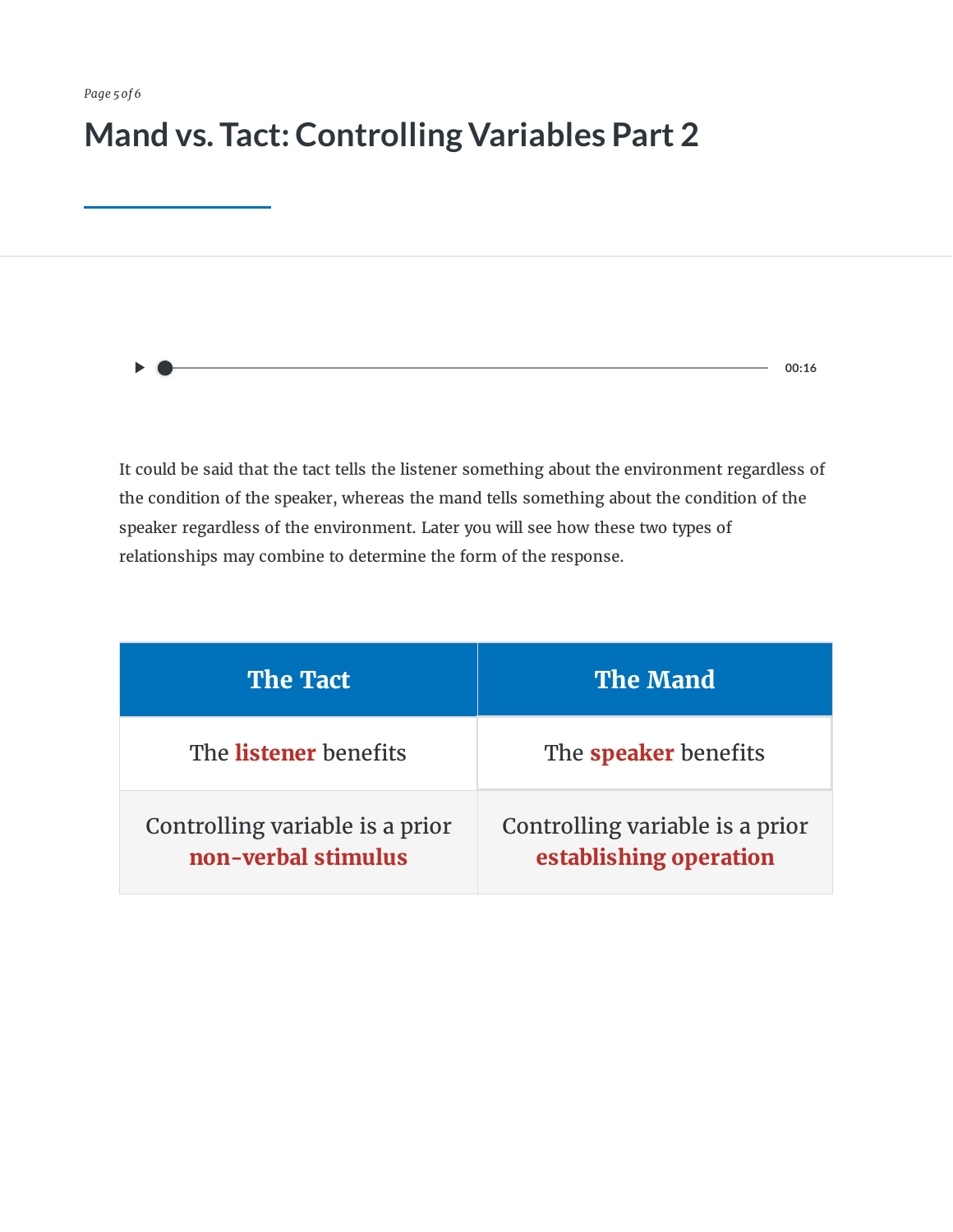### **Mand vs. Tact:Controlling Variables Part 2**

It could be said that the tact tells the listener something about the environment regardless of the condition of the speaker, whereas the mand tells something about the condition of the speaker regardless of the environment. Later you will see how these two types of relationships may combine to determine the form of the response.

**00:16**

| <b>The Tact</b>                                        | <b>The Mand</b>                                           |
|--------------------------------------------------------|-----------------------------------------------------------|
| The listener benefits                                  | The <b>speaker</b> benefits                               |
| Controlling variable is a prior<br>non-verbal stimulus | Controlling variable is a prior<br>establishing operation |